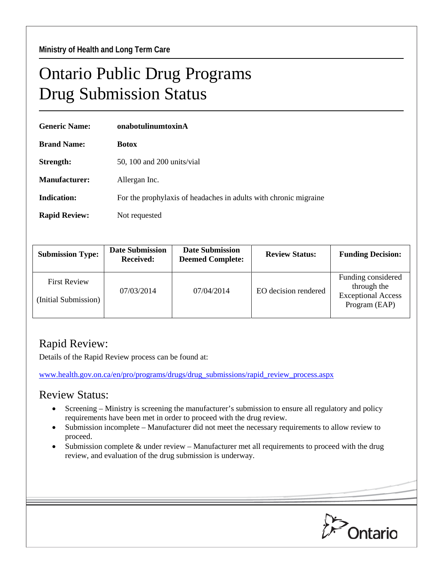## Ontario Public Drug Programs Drug Submission Status

| <b>Generic Name:</b> | onabotulinumtoxinA                                               |  |  |
|----------------------|------------------------------------------------------------------|--|--|
| <b>Brand Name:</b>   | <b>Botox</b>                                                     |  |  |
| Strength:            | 50, 100 and 200 units/vial                                       |  |  |
| <b>Manufacturer:</b> | Allergan Inc.                                                    |  |  |
| <b>Indication:</b>   | For the prophylaxis of headaches in adults with chronic migraine |  |  |
| <b>Rapid Review:</b> | Not requested                                                    |  |  |

| <b>Submission Type:</b>                     | <b>Date Submission</b><br><b>Received:</b> | <b>Date Submission</b><br><b>Deemed Complete:</b> | <b>Review Status:</b> | <b>Funding Decision:</b>                                                        |
|---------------------------------------------|--------------------------------------------|---------------------------------------------------|-----------------------|---------------------------------------------------------------------------------|
| <b>First Review</b><br>(Initial Submission) | 07/03/2014                                 | 07/04/2014                                        | EO decision rendered  | Funding considered<br>through the<br><b>Exceptional Access</b><br>Program (EAP) |

## Rapid Review:

Details of the Rapid Review process can be found at:

[www.health.gov.on.ca/en/pro/programs/drugs/drug\\_submissions/rapid\\_review\\_process.aspx](http://www.health.gov.on.ca/en/pro/programs/drugs/drug_submissions/rapid_review_process.aspx)

## Review Status:

- Screening Ministry is screening the manufacturer's submission to ensure all regulatory and policy requirements have been met in order to proceed with the drug review.
- Submission incomplete Manufacturer did not meet the necessary requirements to allow review to proceed.
- Submission complete  $\&$  under review Manufacturer met all requirements to proceed with the drug review, and evaluation of the drug submission is underway.